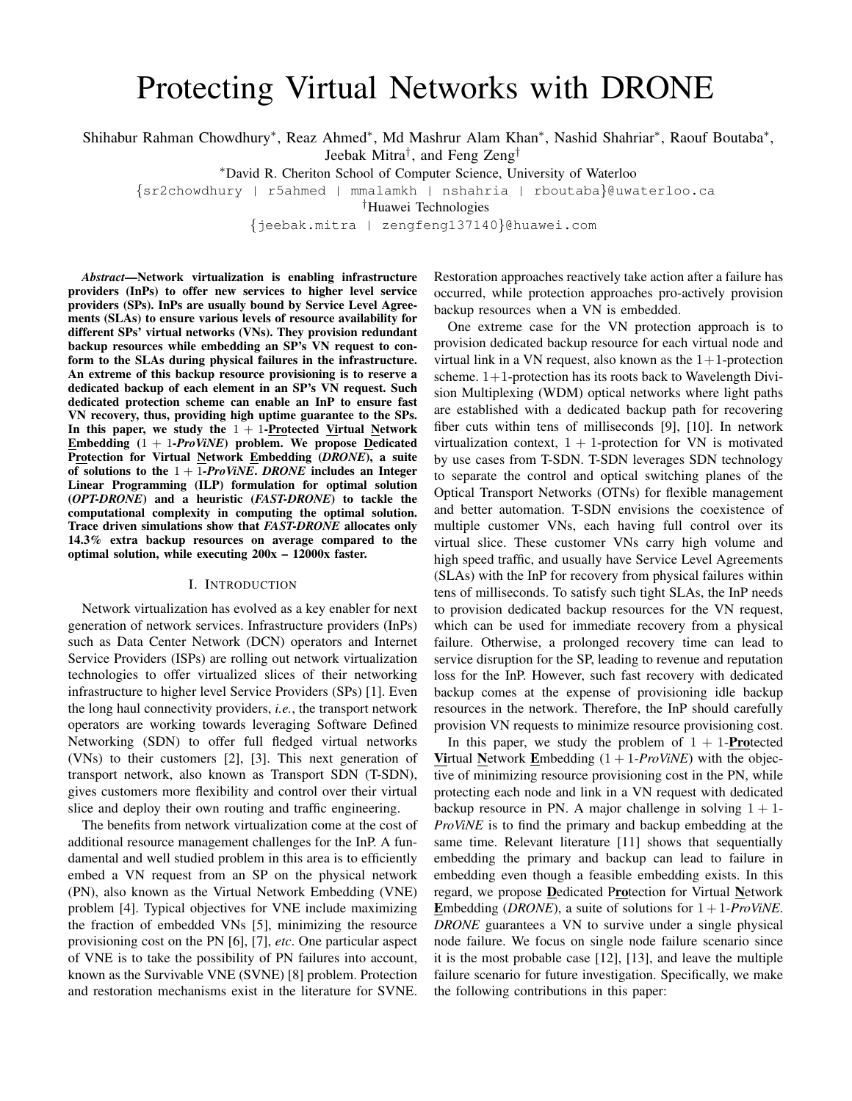# Protecting Virtual Networks with DRONE

Shihabur Rahman Chowdhury<sup>∗</sup>, Reaz Ahmed<sup>∗</sup>, Md Mashrur Alam Khan<sup>∗</sup>, Nashid Shahriar<sup>∗</sup>, Raouf Boutaba<sup>∗</sup>, Jeebak Mitra† , and Feng Zeng†

<sup>∗</sup>David R. Cheriton School of Computer Science, University of Waterloo

{sr2chowdhury | r5ahmed | mmalamkh | nshahria | rboutaba}@uwaterloo.ca

†Huawei Technologies

{jeebak.mitra | zengfeng137140}@huawei.com

*Abstract*—Network virtualization is enabling infrastructure providers (InPs) to offer new services to higher level service providers (SPs). InPs are usually bound by Service Level Agreements (SLAs) to ensure various levels of resource availability for different SPs' virtual networks (VNs). They provision redundant backup resources while embedding an SP's VN request to conform to the SLAs during physical failures in the infrastructure. An extreme of this backup resource provisioning is to reserve a dedicated backup of each element in an SP's VN request. Such dedicated protection scheme can enable an InP to ensure fast VN recovery, thus, providing high uptime guarantee to the SPs. In this paper, we study the  $1 + 1$ -Protected Virtual Network Embedding (1 + 1*-ProViNE*) problem. We propose Dedicated Protection for Virtual Network Embedding (*DRONE*), a suite of solutions to the 1 + 1*-ProViNE*. *DRONE* includes an Integer Linear Programming (ILP) formulation for optimal solution (*OPT-DRONE*) and a heuristic (*FAST-DRONE*) to tackle the computational complexity in computing the optimal solution. Trace driven simulations show that *FAST-DRONE* allocates only 14.3% extra backup resources on average compared to the optimal solution, while executing 200x – 12000x faster.

## I. INTRODUCTION

Network virtualization has evolved as a key enabler for next generation of network services. Infrastructure providers (InPs) such as Data Center Network (DCN) operators and Internet Service Providers (ISPs) are rolling out network virtualization technologies to offer virtualized slices of their networking infrastructure to higher level Service Providers (SPs) [1]. Even the long haul connectivity providers, *i.e.*, the transport network operators are working towards leveraging Software Defined Networking (SDN) to offer full fledged virtual networks (VNs) to their customers [2], [3]. This next generation of transport network, also known as Transport SDN (T-SDN), gives customers more flexibility and control over their virtual slice and deploy their own routing and traffic engineering.

The benefits from network virtualization come at the cost of additional resource management challenges for the InP. A fundamental and well studied problem in this area is to efficiently embed a VN request from an SP on the physical network (PN), also known as the Virtual Network Embedding (VNE) problem [4]. Typical objectives for VNE include maximizing the fraction of embedded VNs [5], minimizing the resource provisioning cost on the PN [6], [7], *etc*. One particular aspect of VNE is to take the possibility of PN failures into account, known as the Survivable VNE (SVNE) [8] problem. Protection and restoration mechanisms exist in the literature for SVNE. Restoration approaches reactively take action after a failure has occurred, while protection approaches pro-actively provision backup resources when a VN is embedded.

One extreme case for the VN protection approach is to provision dedicated backup resource for each virtual node and virtual link in a VN request, also known as the  $1+1$ -protection scheme.  $1+1$ -protection has its roots back to Wavelength Division Multiplexing (WDM) optical networks where light paths are established with a dedicated backup path for recovering fiber cuts within tens of milliseconds [9], [10]. In network virtualization context,  $1 + 1$ -protection for VN is motivated by use cases from T-SDN. T-SDN leverages SDN technology to separate the control and optical switching planes of the Optical Transport Networks (OTNs) for flexible management and better automation. T-SDN envisions the coexistence of multiple customer VNs, each having full control over its virtual slice. These customer VNs carry high volume and high speed traffic, and usually have Service Level Agreements (SLAs) with the InP for recovery from physical failures within tens of milliseconds. To satisfy such tight SLAs, the InP needs to provision dedicated backup resources for the VN request, which can be used for immediate recovery from a physical failure. Otherwise, a prolonged recovery time can lead to service disruption for the SP, leading to revenue and reputation loss for the InP. However, such fast recovery with dedicated backup comes at the expense of provisioning idle backup resources in the network. Therefore, the InP should carefully provision VN requests to minimize resource provisioning cost.

In this paper, we study the problem of  $1 + 1$ -**Protected Virtual Network Embedding**  $(1 + 1$ -*ProViNE*) with the objective of minimizing resource provisioning cost in the PN, while protecting each node and link in a VN request with dedicated backup resource in PN. A major challenge in solving 1 + 1*- ProViNE* is to find the primary and backup embedding at the same time. Relevant literature [11] shows that sequentially embedding the primary and backup can lead to failure in embedding even though a feasible embedding exists. In this regard, we propose Dedicated Protection for Virtual Network Embedding (*DRONE*), a suite of solutions for  $1 + 1$ *-ProViNE*. *DRONE* guarantees a VN to survive under a single physical node failure. We focus on single node failure scenario since it is the most probable case [12], [13], and leave the multiple failure scenario for future investigation. Specifically, we make the following contributions in this paper: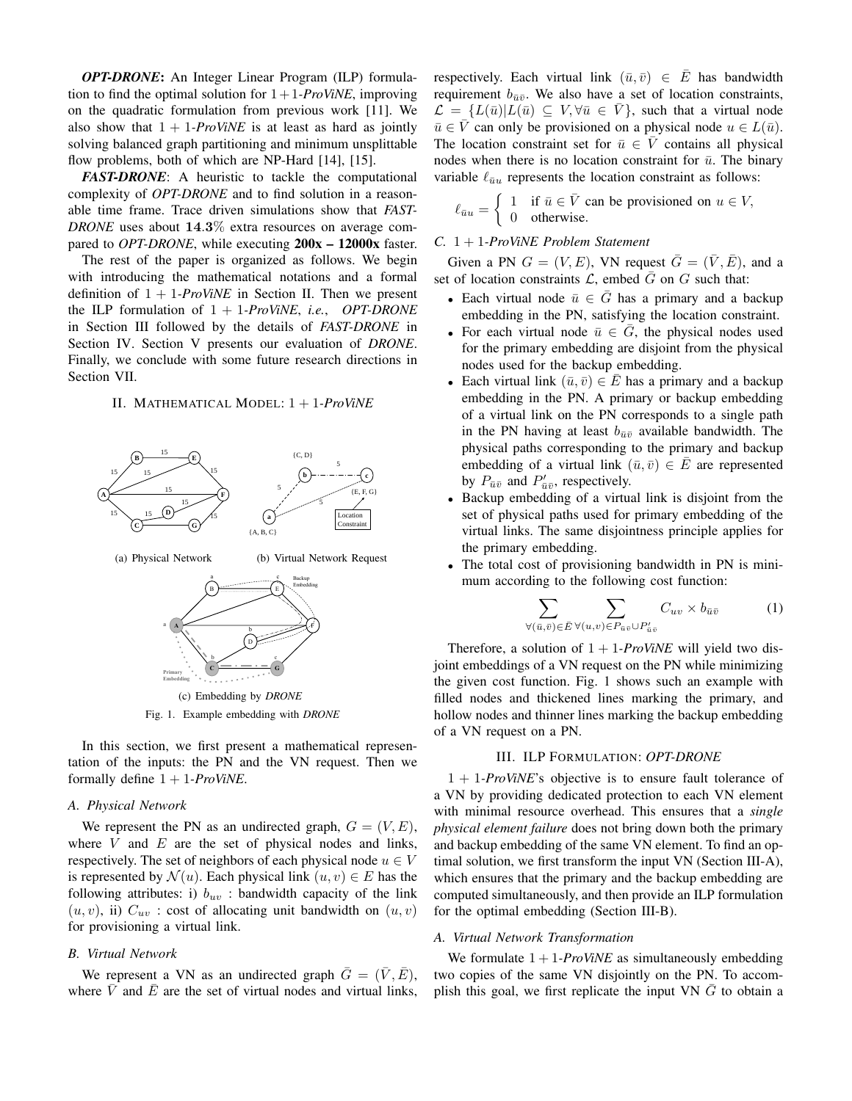*OPT-DRONE*: An Integer Linear Program (ILP) formulation to find the optimal solution for  $1+1$ *-ProViNE*, improving on the quadratic formulation from previous work [11]. We also show that  $1 + 1$ -*ProViNE* is at least as hard as jointly solving balanced graph partitioning and minimum unsplittable flow problems, both of which are NP-Hard [14], [15].

*FAST-DRONE*: A heuristic to tackle the computational complexity of *OPT-DRONE* and to find solution in a reasonable time frame. Trace driven simulations show that *FAST-DRONE* uses about 14.3% extra resources on average compared to *OPT-DRONE*, while executing  $200x - 12000x$  faster.

The rest of the paper is organized as follows. We begin with introducing the mathematical notations and a formal definition of  $1 + 1$ -*ProViNE* in Section II. Then we present the ILP formulation of 1 + 1*-ProViNE*, *i.e.*, *OPT-DRONE* in Section III followed by the details of *FAST-DRONE* in Section IV. Section V presents our evaluation of *DRONE*. Finally, we conclude with some future research directions in Section VII.

# II. MATHEMATICAL MODEL: 1 + 1*-ProViNE*



In this section, we first present a mathematical representation of the inputs: the PN and the VN request. Then we formally define 1 + 1*-ProViNE*.

# *A. Physical Network*

We represent the PN as an undirected graph,  $G = (V, E)$ , where  $V$  and  $E$  are the set of physical nodes and links, respectively. The set of neighbors of each physical node  $u \in V$ is represented by  $\mathcal{N}(u)$ . Each physical link  $(u, v) \in E$  has the following attributes: i)  $b_{uv}$ : bandwidth capacity of the link  $(u, v)$ , ii)  $C_{uv}$ : cost of allocating unit bandwidth on  $(u, v)$ for provisioning a virtual link.

## *B. Virtual Network*

We represent a VN as an undirected graph  $\bar{G} = (\bar{V}, \bar{E}),$ where  $\overline{V}$  and  $\overline{E}$  are the set of virtual nodes and virtual links,

respectively. Each virtual link  $(\bar{u}, \bar{v}) \in \bar{E}$  has bandwidth requirement  $b_{\bar{n}\bar{n}}$ . We also have a set of location constraints,  $\mathcal{L} = \{L(\bar{u}) | L(\bar{u}) \subseteq V, \forall \bar{u} \in \bar{V}\}\$ , such that a virtual node  $\bar{u} \in \bar{V}$  can only be provisioned on a physical node  $u \in L(\bar{u})$ . The location constraint set for  $\bar{u} \in \bar{V}$  contains all physical nodes when there is no location constraint for  $\bar{u}$ . The binary variable  $\ell_{\bar{u}u}$  represents the location constraint as follows:

$$
\ell_{\bar{u}u} = \begin{cases} 1 & \text{if } \bar{u} \in \bar{V} \text{ can be provided on } u \in V, \\ 0 & \text{otherwise.} \end{cases}
$$

## *C.* 1 + 1*-ProViNE Problem Statement*

Given a PN  $G = (V, E)$ , VN request  $\overline{G} = (\overline{V}, \overline{E})$ , and a set of location constraints  $\mathcal{L}$ , embed  $\overline{G}$  on  $G$  such that:

- Each virtual node  $\bar{u} \in \bar{G}$  has a primary and a backup embedding in the PN, satisfying the location constraint.
- For each virtual node  $\bar{u} \in \bar{G}$ , the physical nodes used for the primary embedding are disjoint from the physical nodes used for the backup embedding.
- Each virtual link  $(\bar{u}, \bar{v}) \in \bar{E}$  has a primary and a backup embedding in the PN. A primary or backup embedding of a virtual link on the PN corresponds to a single path in the PN having at least  $b_{\bar{u}\bar{v}}$  available bandwidth. The physical paths corresponding to the primary and backup embedding of a virtual link  $(\bar{u}, \bar{v}) \in \overline{E}$  are represented by  $P_{\bar{u}\bar{v}}$  and  $P'_{\bar{u}\bar{v}}$ , respectively.
- Backup embedding of a virtual link is disjoint from the set of physical paths used for primary embedding of the virtual links. The same disjointness principle applies for the primary embedding.
- The total cost of provisioning bandwidth in PN is minimum according to the following cost function:

$$
\sum_{\forall (\bar{u},\bar{v}) \in \bar{E}} \sum_{\forall (u,v) \in P_{\bar{u}\bar{v}} \cup P'_{\bar{u}\bar{v}}} C_{uv} \times b_{\bar{u}\bar{v}}
$$
 (1)

Therefore, a solution of  $1 + 1$ -*ProViNE* will yield two disjoint embeddings of a VN request on the PN while minimizing the given cost function. Fig. 1 shows such an example with filled nodes and thickened lines marking the primary, and hollow nodes and thinner lines marking the backup embedding of a VN request on a PN.

## III. ILP FORMULATION: *OPT-DRONE*

1 + 1*-ProViNE*'s objective is to ensure fault tolerance of a VN by providing dedicated protection to each VN element with minimal resource overhead. This ensures that a *single physical element failure* does not bring down both the primary and backup embedding of the same VN element. To find an optimal solution, we first transform the input VN (Section III-A), which ensures that the primary and the backup embedding are computed simultaneously, and then provide an ILP formulation for the optimal embedding (Section III-B).

### *A. Virtual Network Transformation*

We formulate  $1 + 1$ -*ProViNE* as simultaneously embedding two copies of the same VN disjointly on the PN. To accomplish this goal, we first replicate the input VN  $\bar{G}$  to obtain a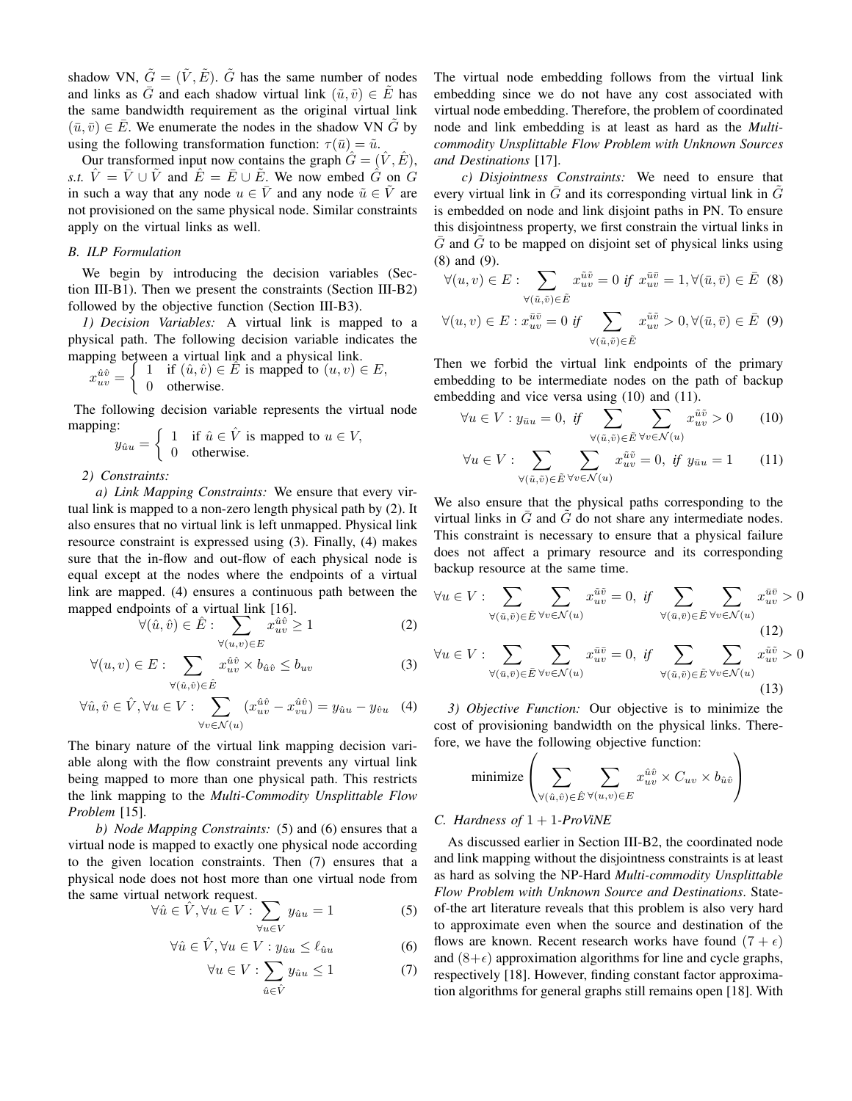shadow VN,  $\tilde{G} = (\tilde{V}, \tilde{E})$ .  $\tilde{G}$  has the same number of nodes and links as  $\overline{G}$  and each shadow virtual link  $(\tilde{u}, \tilde{v}) \in \tilde{E}$  has the same bandwidth requirement as the original virtual link  $(\bar{u}, \bar{v}) \in \bar{E}$ . We enumerate the nodes in the shadow VN  $\tilde{G}$  by using the following transformation function:  $\tau(\bar{u}) = \tilde{u}$ .

Our transformed input now contains the graph  $\hat{G} = (\hat{V}, \hat{E})$ , *s.t.*  $\hat{V} = \bar{V} \cup \tilde{V}$  and  $\hat{E} = \bar{E} \cup \tilde{E}$ . We now embed  $\hat{G}$  on G in such a way that any node  $u \in \overline{V}$  and any node  $\tilde{u} \in \tilde{V}$  are not provisioned on the same physical node. Similar constraints apply on the virtual links as well.

# *B. ILP Formulation*

We begin by introducing the decision variables (Section III-B1). Then we present the constraints (Section III-B2) followed by the objective function (Section III-B3).

*1) Decision Variables:* A virtual link is mapped to a physical path. The following decision variable indicates the mapping between a virtual link and a physical link.

$$
x_{uv}^{\hat{u}\hat{v}} = \begin{cases} 1 & \text{if } (\hat{u}, \hat{v}) \in \hat{E} \text{ is mapped to } (u, v) \in E, \\ 0 & \text{otherwise.} \end{cases}
$$

The following decision variable represents the virtual node mapping:

$$
y_{\hat{u}u} = \begin{cases} 1 & \text{if } \hat{u} \in \hat{V} \text{ is mapped to } u \in V, \\ 0 & \text{otherwise.} \end{cases}
$$

*2) Constraints:*

*a) Link Mapping Constraints:* We ensure that every virtual link is mapped to a non-zero length physical path by (2). It also ensures that no virtual link is left unmapped. Physical link resource constraint is expressed using (3). Finally, (4) makes sure that the in-flow and out-flow of each physical node is equal except at the nodes where the endpoints of a virtual link are mapped. (4) ensures a continuous path between the mapped endpoints of a virtual link [16].

$$
\forall (\hat{u}, \hat{v}) \in \hat{E} : \sum_{\forall (u,v) \in E} x_{uv}^{\hat{u}\hat{v}} \ge 1
$$
 (2)

$$
\forall (u,v) \in E: \sum_{\forall (\hat{u},\hat{v}) \in \hat{E}} x_{uv}^{\hat{u}\hat{v}} \times b_{\hat{u}\hat{v}} \le b_{uv}
$$
 (3)

$$
\forall \hat{u}, \hat{v} \in \hat{V}, \forall u \in V : \sum_{\forall v \in \mathcal{N}(u)} (x_{uv}^{\hat{u}\hat{v}} - x_{vu}^{\hat{u}\hat{v}}) = y_{\hat{u}u} - y_{\hat{v}u} \quad (4)
$$

The binary nature of the virtual link mapping decision variable along with the flow constraint prevents any virtual link being mapped to more than one physical path. This restricts the link mapping to the *Multi-Commodity Unsplittable Flow Problem* [15].

*b) Node Mapping Constraints:* (5) and (6) ensures that a virtual node is mapped to exactly one physical node according to the given location constraints. Then (7) ensures that a physical node does not host more than one virtual node from the same virtual network request.

$$
\forall \hat{u} \in \hat{V}, \forall u \in V : \sum_{\forall u \in V} y_{\hat{u}u} = 1 \tag{5}
$$

$$
\forall \hat{u} \in \hat{V}, \forall u \in V: y_{\hat{u}u} \le \ell_{\hat{u}u} \tag{6}
$$

$$
\forall u \in V : \sum_{\hat{u} \in \hat{V}} y_{\hat{u}u} \le 1 \tag{7}
$$

The virtual node embedding follows from the virtual link embedding since we do not have any cost associated with virtual node embedding. Therefore, the problem of coordinated node and link embedding is at least as hard as the *Multicommodity Unsplittable Flow Problem with Unknown Sources and Destinations* [17].

*c) Disjointness Constraints:* We need to ensure that every virtual link in  $G$  and its corresponding virtual link in  $G$ is embedded on node and link disjoint paths in PN. To ensure this disjointness property, we first constrain the virtual links in  $\overline{G}$  and  $\widetilde{G}$  to be mapped on disjoint set of physical links using (8) and (9).

$$
\forall (u, v) \in E: \sum_{\forall (\tilde{u}, \tilde{v}) \in \tilde{E}} x_{uv}^{\tilde{u}\tilde{v}} = 0 \text{ if } x_{uv}^{\tilde{u}\tilde{v}} = 1, \forall (\bar{u}, \bar{v}) \in \bar{E} \quad (8)
$$

$$
\forall (u,v) \in E : x_{uv}^{\bar{u}\bar{v}} = 0 \text{ if } \sum_{\forall (\tilde{u}, \tilde{v}) \in \tilde{E}} x_{uv}^{\tilde{u}\tilde{v}} > 0, \forall (\bar{u}, \bar{v}) \in \bar{E} \quad (9)
$$

Then we forbid the virtual link endpoints of the primary embedding to be intermediate nodes on the path of backup embedding and vice versa using (10) and (11).

$$
\forall u \in V : y_{\bar{u}u} = 0, \text{ if } \sum_{\forall (\tilde{u}, \tilde{v}) \in \tilde{E}} \sum_{\forall v \in \mathcal{N}(u)} x_{uv}^{\tilde{u}\tilde{v}} > 0 \qquad (10)
$$

$$
\forall u \in V : \sum_{\forall (\tilde{u}, \tilde{v}) \in \tilde{E}} \sum_{\forall v \in \mathcal{N}(u)} x_{uv}^{\tilde{u}\tilde{v}} = 0, \text{ if } y_{\tilde{u}u} = 1 \qquad (11)
$$

We also ensure that the physical paths corresponding to the virtual links in  $\overline{G}$  and  $\overline{G}$  do not share any intermediate nodes. This constraint is necessary to ensure that a physical failure does not affect a primary resource and its corresponding backup resource at the same time.

$$
\forall u \in V : \sum_{\forall (\tilde{u}, \tilde{v}) \in \tilde{E}} \sum_{\forall v \in \mathcal{N}(u)} x_{uv}^{\tilde{u}\tilde{v}} = 0, \quad \text{if} \quad \sum_{\forall (\bar{u}, \tilde{v}) \in \tilde{E}} \sum_{\forall v \in \mathcal{N}(u)} x_{uv}^{\tilde{u}\tilde{v}} > 0
$$
\n
$$
\forall u \in V : \sum_{\forall (\bar{u}, \tilde{v}) \in \tilde{E}} \sum_{\forall v \in \mathcal{N}(u)} x_{uv}^{\tilde{u}\tilde{v}} = 0, \quad \text{if} \quad \sum_{\forall (\tilde{u}, \tilde{v}) \in \tilde{E}} \sum_{\forall v \in \mathcal{N}(u)} x_{uv}^{\tilde{u}\tilde{v}} > 0
$$
\n(12)

*3) Objective Function:* Our objective is to minimize the cost of provisioning bandwidth on the physical links. Therefore, we have the following objective function:

$$
\text{minimize} \left( \sum_{\forall ( \hat{u}, \hat{v}) \in \hat{E}} \sum_{\forall (u, v) \in E} x_{uv}^{\hat{u}\hat{v}} \times C_{uv} \times b_{\hat{u}\hat{v}} \right)
$$

# *C. Hardness of* 1 + 1*-ProViNE*

As discussed earlier in Section III-B2, the coordinated node and link mapping without the disjointness constraints is at least as hard as solving the NP-Hard *Multi-commodity Unsplittable Flow Problem with Unknown Source and Destinations*. Stateof-the art literature reveals that this problem is also very hard to approximate even when the source and destination of the flows are known. Recent research works have found  $(7 + \epsilon)$ and  $(8+\epsilon)$  approximation algorithms for line and cycle graphs, respectively [18]. However, finding constant factor approximation algorithms for general graphs still remains open [18]. With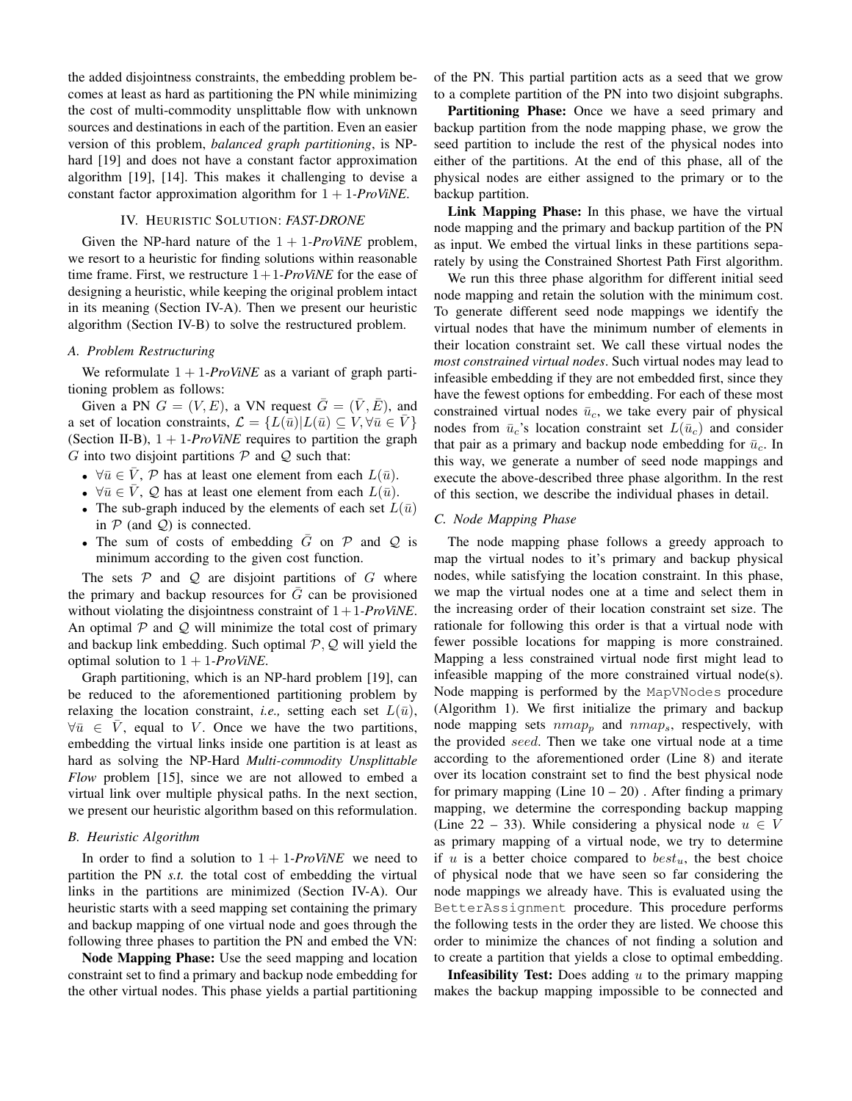the added disjointness constraints, the embedding problem becomes at least as hard as partitioning the PN while minimizing the cost of multi-commodity unsplittable flow with unknown sources and destinations in each of the partition. Even an easier version of this problem, *balanced graph partitioning*, is NPhard [19] and does not have a constant factor approximation algorithm [19], [14]. This makes it challenging to devise a constant factor approximation algorithm for 1 + 1*-ProViNE*.

# IV. HEURISTIC SOLUTION: *FAST-DRONE*

Given the NP-hard nature of the  $1 + 1$ -ProViNE problem, we resort to a heuristic for finding solutions within reasonable time frame. First, we restructure  $1+1$ *-ProViNE* for the ease of designing a heuristic, while keeping the original problem intact in its meaning (Section IV-A). Then we present our heuristic algorithm (Section IV-B) to solve the restructured problem.

## *A. Problem Restructuring*

We reformulate  $1 + 1$ -*ProViNE* as a variant of graph partitioning problem as follows:

Given a PN  $G = (V, E)$ , a VN request  $\overline{G} = (\overline{V}, \overline{E})$ , and a set of location constraints,  $\mathcal{L} = \{L(\bar{u})| L(\bar{u}) \subseteq V, \forall \bar{u} \in \bar{V}\}\$ (Section II-B),  $1 + 1$ -*ProViNE* requires to partition the graph G into two disjoint partitions  $P$  and  $Q$  such that:

- $\forall \bar{u} \in \bar{V}$ ,  $\mathcal{P}$  has at least one element from each  $L(\bar{u})$ .
- $\forall \bar{u} \in \bar{V}$ ,  $\mathcal{Q}$  has at least one element from each  $L(\bar{u})$ .
- The sub-graph induced by the elements of each set  $L(\bar{u})$ in  $P$  (and  $Q$ ) is connected.
- The sum of costs of embedding  $\overline{G}$  on  $\mathcal P$  and  $\mathcal Q$  is minimum according to the given cost function.

The sets  $P$  and  $Q$  are disjoint partitions of  $G$  where the primary and backup resources for  $\overline{G}$  can be provisioned without violating the disjointness constraint of 1+ 1*-ProViNE*. An optimal  $P$  and  $Q$  will minimize the total cost of primary and backup link embedding. Such optimal  $P, Q$  will yield the optimal solution to  $1 + 1$ *-ProViNE*.

Graph partitioning, which is an NP-hard problem [19], can be reduced to the aforementioned partitioning problem by relaxing the location constraint, *i.e.*, setting each set  $L(\bar{u})$ ,  $\forall \bar{u} \in \overline{V}$ , equal to V. Once we have the two partitions, embedding the virtual links inside one partition is at least as hard as solving the NP-Hard *Multi-commodity Unsplittable Flow* problem [15], since we are not allowed to embed a virtual link over multiple physical paths. In the next section, we present our heuristic algorithm based on this reformulation.

# *B. Heuristic Algorithm*

In order to find a solution to  $1 + 1$ *-ProViNE* we need to partition the PN *s.t.* the total cost of embedding the virtual links in the partitions are minimized (Section IV-A). Our heuristic starts with a seed mapping set containing the primary and backup mapping of one virtual node and goes through the following three phases to partition the PN and embed the VN:

Node Mapping Phase: Use the seed mapping and location constraint set to find a primary and backup node embedding for the other virtual nodes. This phase yields a partial partitioning

of the PN. This partial partition acts as a seed that we grow to a complete partition of the PN into two disjoint subgraphs.

Partitioning Phase: Once we have a seed primary and backup partition from the node mapping phase, we grow the seed partition to include the rest of the physical nodes into either of the partitions. At the end of this phase, all of the physical nodes are either assigned to the primary or to the backup partition.

Link Mapping Phase: In this phase, we have the virtual node mapping and the primary and backup partition of the PN as input. We embed the virtual links in these partitions separately by using the Constrained Shortest Path First algorithm.

We run this three phase algorithm for different initial seed node mapping and retain the solution with the minimum cost. To generate different seed node mappings we identify the virtual nodes that have the minimum number of elements in their location constraint set. We call these virtual nodes the *most constrained virtual nodes*. Such virtual nodes may lead to infeasible embedding if they are not embedded first, since they have the fewest options for embedding. For each of these most constrained virtual nodes  $\bar{u}_c$ , we take every pair of physical nodes from  $\bar{u}_c$ 's location constraint set  $L(\bar{u}_c)$  and consider that pair as a primary and backup node embedding for  $\bar{u}_c$ . In this way, we generate a number of seed node mappings and execute the above-described three phase algorithm. In the rest of this section, we describe the individual phases in detail.

## *C. Node Mapping Phase*

The node mapping phase follows a greedy approach to map the virtual nodes to it's primary and backup physical nodes, while satisfying the location constraint. In this phase, we map the virtual nodes one at a time and select them in the increasing order of their location constraint set size. The rationale for following this order is that a virtual node with fewer possible locations for mapping is more constrained. Mapping a less constrained virtual node first might lead to infeasible mapping of the more constrained virtual node(s). Node mapping is performed by the MapVNodes procedure (Algorithm 1). We first initialize the primary and backup node mapping sets  $nmap_p$  and  $nmap_s$ , respectively, with the provided seed. Then we take one virtual node at a time according to the aforementioned order (Line 8) and iterate over its location constraint set to find the best physical node for primary mapping (Line  $10 - 20$ ). After finding a primary mapping, we determine the corresponding backup mapping (Line 22 – 33). While considering a physical node  $u \in V$ as primary mapping of a virtual node, we try to determine if  $u$  is a better choice compared to  $best_u$ , the best choice of physical node that we have seen so far considering the node mappings we already have. This is evaluated using the BetterAssignment procedure. This procedure performs the following tests in the order they are listed. We choose this order to minimize the chances of not finding a solution and to create a partition that yields a close to optimal embedding.

**Infeasibility Test:** Does adding  $u$  to the primary mapping makes the backup mapping impossible to be connected and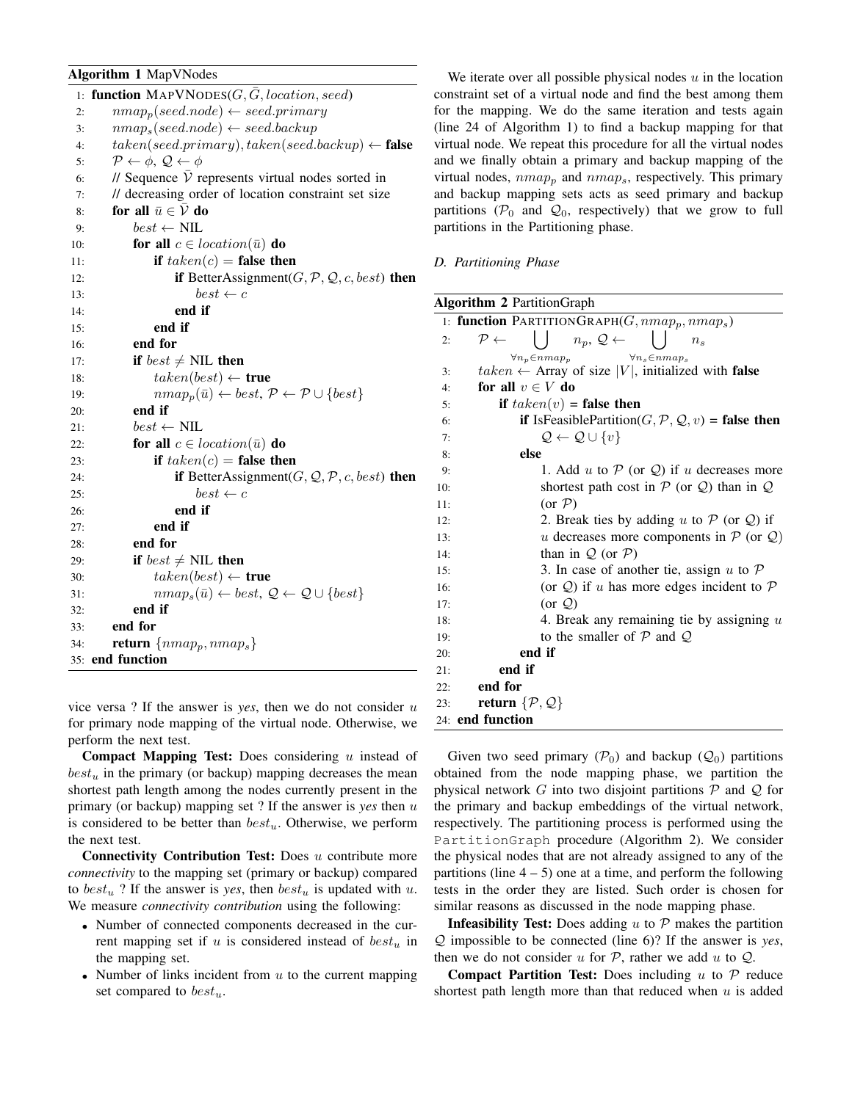# Algorithm 1 MapVNodes

| 1:  | function $MAPVNODES(G, G, location, seed)$                                          |
|-----|-------------------------------------------------------------------------------------|
| 2:  | $nmap_p (seed node) \leftarrow seed.primary$                                        |
| 3:  | $nmaps(seed.node) \leftarrow seed.backup$                                           |
| 4:  | $taken (seed.primary), taken (seed.backup) \leftarrow false$                        |
| 5:  | $P \leftarrow \phi$ , $Q \leftarrow \phi$                                           |
| 6:  | // Sequence $\overline{V}$ represents virtual nodes sorted in                       |
| 7:  | // decreasing order of location constraint set size                                 |
| 8:  | for all $\bar{u} \in \overline{\mathcal{V}}$ do                                     |
| 9:  | $best \leftarrow \text{NIL}$                                                        |
| 10: | for all $c \in location(\bar{u})$ do                                                |
| 11: | if $taken(c)$ = false then                                                          |
| 12: | if BetterAssignment $(G, \mathcal{P}, \mathcal{Q}, c, best)$ then                   |
| 13: | $best \leftarrow c$                                                                 |
| 14: | end if                                                                              |
| 15: | end if                                                                              |
| 16: | end for                                                                             |
| 17: | if $best \neq \text{NIL}$ then                                                      |
| 18: | $taken (best) \leftarrow true$                                                      |
| 19: | $nmap_p(\bar{u}) \leftarrow best, \mathcal{P} \leftarrow \mathcal{P} \cup \{best\}$ |
| 20: | end if                                                                              |
| 21: | $best \leftarrow \text{NIL}$                                                        |
| 22: | for all $c \in location(\bar{u})$ do                                                |
| 23: | if $taken(c)$ = false then                                                          |
| 24: | <b>if</b> BetterAssignment( $G, Q, P, c, best$ ) then                               |
| 25: | $best \leftarrow c$                                                                 |
| 26: | end if                                                                              |
| 27: | end if                                                                              |
| 28: | end for                                                                             |
| 29: | if $best \neq \text{NIL}$ then                                                      |
| 30: | $taken (best) \leftarrow true$                                                      |
| 31: | $nmap_s(\bar{u}) \leftarrow best, \mathcal{Q} \leftarrow \mathcal{Q} \cup \{best\}$ |
| 32: | end if                                                                              |
| 33: | end for                                                                             |
| 34: | return $\{nmap_p, nmap_s\}$                                                         |
| 35: | end function                                                                        |

vice versa ? If the answer is *yes*, then we do not consider u for primary node mapping of the virtual node. Otherwise, we perform the next test.

Compact Mapping Test: Does considering  $u$  instead of  $best_u$  in the primary (or backup) mapping decreases the mean shortest path length among the nodes currently present in the primary (or backup) mapping set ? If the answer is *yes* then u is considered to be better than  $best_u$ . Otherwise, we perform the next test.

**Connectivity Contribution Test:** Does  $u$  contribute more *connectivity* to the mapping set (primary or backup) compared to  $best_u$ ? If the answer is *yes*, then  $best_u$  is updated with u. We measure *connectivity contribution* using the following:

- Number of connected components decreased in the current mapping set if  $u$  is considered instead of  $best_u$  in the mapping set.
- Number of links incident from  $u$  to the current mapping set compared to  $best_u$ .

We iterate over all possible physical nodes  $u$  in the location constraint set of a virtual node and find the best among them for the mapping. We do the same iteration and tests again (line 24 of Algorithm 1) to find a backup mapping for that virtual node. We repeat this procedure for all the virtual nodes and we finally obtain a primary and backup mapping of the virtual nodes,  $nmap_p$  and  $nmap_s$ , respectively. This primary and backup mapping sets acts as seed primary and backup partitions ( $\mathcal{P}_0$  and  $\mathcal{Q}_0$ , respectively) that we grow to full partitions in the Partitioning phase.

*D. Partitioning Phase*

| <b>Algorithm 2 PartitionGraph</b>                                                                                          |  |  |
|----------------------------------------------------------------------------------------------------------------------------|--|--|
| 1: function PARTITIONGRAPH $(G, nmap_p, nmap_s)$                                                                           |  |  |
| $n_p, \mathcal{Q} \leftarrow \Box$<br>$\mathcal{P} \leftarrow$<br>2:<br>$n_{s}$                                            |  |  |
| $\forall n_p \in nmap_p$<br>$\forall n_s \in nmap_s$<br>$taken \leftarrow$ Array of size  V , initialized with false<br>3: |  |  |
| for all $v \in V$ do<br>4:                                                                                                 |  |  |
| if $taken(v)$ = false then<br>5:                                                                                           |  |  |
| <b>if</b> IsFeasiblePartition( $G, P, Q, v$ ) = <b>false then</b><br>6:                                                    |  |  |
| $\mathcal{Q} \leftarrow \mathcal{Q} \cup \{v\}$<br>7:                                                                      |  |  |
| else<br>8:                                                                                                                 |  |  |
| 1. Add u to $P$ (or $Q$ ) if u decreases more<br>9:                                                                        |  |  |
| shortest path cost in $P$ (or $Q$ ) than in $Q$<br>10:                                                                     |  |  |
| $(or \mathcal{P})$<br>11:                                                                                                  |  |  |
| 2. Break ties by adding u to $P$ (or $Q$ ) if<br>12:                                                                       |  |  |
| u decreases more components in $P$ (or $Q$ )<br>13:                                                                        |  |  |
| than in $Q$ (or $P$ )<br>14:                                                                                               |  |  |
| 3. In case of another tie, assign u to $P$<br>15:                                                                          |  |  |
| (or $Q$ ) if u has more edges incident to $P$<br>16:                                                                       |  |  |
| (or $\mathcal{Q}$ )<br>17:                                                                                                 |  |  |
| 4. Break any remaining tie by assigning $u$<br>18:                                                                         |  |  |
| to the smaller of $P$ and $Q$<br>19:                                                                                       |  |  |
| end if<br>20:                                                                                                              |  |  |
| end if<br>21:                                                                                                              |  |  |
| end for<br>22:                                                                                                             |  |  |
| return $\{\mathcal{P}, \mathcal{Q}\}$<br>23:                                                                               |  |  |
| 24: end function                                                                                                           |  |  |

Given two seed primary  $(\mathcal{P}_0)$  and backup  $(\mathcal{Q}_0)$  partitions obtained from the node mapping phase, we partition the physical network  $G$  into two disjoint partitions  $P$  and  $Q$  for the primary and backup embeddings of the virtual network, respectively. The partitioning process is performed using the PartitionGraph procedure (Algorithm 2). We consider the physical nodes that are not already assigned to any of the partitions (line  $4 - 5$ ) one at a time, and perform the following tests in the order they are listed. Such order is chosen for similar reasons as discussed in the node mapping phase.

**Infeasibility Test:** Does adding  $u$  to  $P$  makes the partition Q impossible to be connected (line 6)? If the answer is *yes*, then we do not consider u for  $P$ , rather we add u to  $Q$ .

**Compact Partition Test:** Does including u to  $\mathcal{P}$  reduce shortest path length more than that reduced when  $u$  is added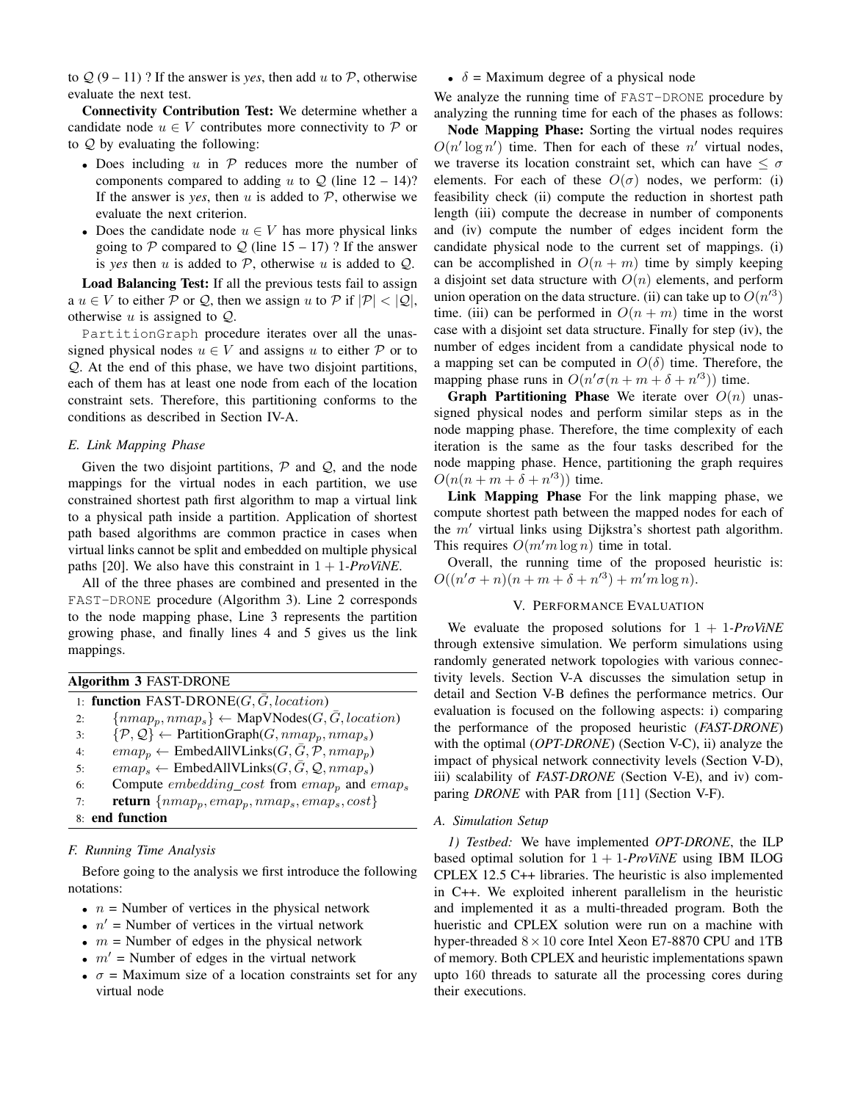to  $Q(9-11)$ ? If the answer is *yes*, then add u to P, otherwise evaluate the next test.

Connectivity Contribution Test: We determine whether a candidate node  $u \in V$  contributes more connectivity to P or to Q by evaluating the following:

- Does including  $u$  in  $\mathcal P$  reduces more the number of components compared to adding u to  $Q$  (line  $12 - 14$ )? If the answer is *yes*, then  $u$  is added to  $P$ , otherwise we evaluate the next criterion.
- Does the candidate node  $u \in V$  has more physical links going to P compared to Q (line  $15 - 17$ )? If the answer is *yes* then u is added to P, otherwise u is added to  $Q$ .

Load Balancing Test: If all the previous tests fail to assign a  $u \in V$  to either P or Q, then we assign u to P if  $|\mathcal{P}| < |\mathcal{Q}|$ , otherwise  $u$  is assigned to  $Q$ .

PartitionGraph procedure iterates over all the unassigned physical nodes  $u \in V$  and assigns u to either  $P$  or to  $Q$ . At the end of this phase, we have two disjoint partitions, each of them has at least one node from each of the location constraint sets. Therefore, this partitioning conforms to the conditions as described in Section IV-A.

# *E. Link Mapping Phase*

Given the two disjoint partitions,  $P$  and  $Q$ , and the node mappings for the virtual nodes in each partition, we use constrained shortest path first algorithm to map a virtual link to a physical path inside a partition. Application of shortest path based algorithms are common practice in cases when virtual links cannot be split and embedded on multiple physical paths [20]. We also have this constraint in  $1 + 1$ *-ProViNE*.

All of the three phases are combined and presented in the FAST-DRONE procedure (Algorithm 3). Line 2 corresponds to the node mapping phase, Line 3 represents the partition growing phase, and finally lines 4 and 5 gives us the link mappings.

| <b>Algorithm 3 FAST-DRONE</b>                                                             |  |  |
|-------------------------------------------------------------------------------------------|--|--|
| 1: function FAST-DRONE( $G, \overline{G}$ , location)                                     |  |  |
| $\{nmap_p, nmap_s\} \leftarrow \text{MapVNodes}(G, \bar{G}, location)$<br>2:              |  |  |
| $\{\mathcal{P},\mathcal{Q}\}\leftarrow$ Partition Graph $(G, nmap_p, nmap_s)$<br>3:       |  |  |
| $emap_p \leftarrow$ EmbedAllVLinks( $G, \overline{G}, \mathcal{P}, \text{nmap}_p$ )<br>4: |  |  |
| $emap_s \leftarrow$ EmbedAllVLinks(G, $\bar{G}$ , Q, $nmap_s$ )<br>5:                     |  |  |
| Compute <i>embedding_cost</i> from $emap_p$ and $emap_s$<br>6:                            |  |  |
| <b>return</b> $\{nmap_p, emap_p, nmap_s, emap_s, cost\}$<br>7:                            |  |  |
| 8: end function                                                                           |  |  |
|                                                                                           |  |  |

## *F. Running Time Analysis*

Before going to the analysis we first introduce the following notations:

- $n =$  Number of vertices in the physical network
- $n'$  = Number of vertices in the virtual network
- $m =$  Number of edges in the physical network
- $m'$  = Number of edges in the virtual network
- $\sigma$  = Maximum size of a location constraints set for any virtual node

•  $\delta$  = Maximum degree of a physical node

We analyze the running time of FAST-DRONE procedure by analyzing the running time for each of the phases as follows:

Node Mapping Phase: Sorting the virtual nodes requires  $O(n' \log n')$  time. Then for each of these n' virtual nodes, we traverse its location constraint set, which can have  $\leq \sigma$ elements. For each of these  $O(\sigma)$  nodes, we perform: (i) feasibility check (ii) compute the reduction in shortest path length (iii) compute the decrease in number of components and (iv) compute the number of edges incident form the candidate physical node to the current set of mappings. (i) can be accomplished in  $O(n + m)$  time by simply keeping a disjoint set data structure with  $O(n)$  elements, and perform union operation on the data structure. (ii) can take up to  $O(n^{3})$ time. (iii) can be performed in  $O(n + m)$  time in the worst case with a disjoint set data structure. Finally for step (iv), the number of edges incident from a candidate physical node to a mapping set can be computed in  $O(\delta)$  time. Therefore, the mapping phase runs in  $O(n' \sigma(n + m + \delta + n'^3))$  time.

**Graph Partitioning Phase** We iterate over  $O(n)$  unassigned physical nodes and perform similar steps as in the node mapping phase. Therefore, the time complexity of each iteration is the same as the four tasks described for the node mapping phase. Hence, partitioning the graph requires  $O(n(n+m+\delta+n^2))$  time.

Link Mapping Phase For the link mapping phase, we compute shortest path between the mapped nodes for each of the  $m'$  virtual links using Dijkstra's shortest path algorithm. This requires  $O(m'm \log n)$  time in total.

Overall, the running time of the proposed heuristic is:  $O((n'\sigma + n)(n + m + \delta + n'^3) + m'm \log n).$ 

# V. PERFORMANCE EVALUATION

We evaluate the proposed solutions for 1 + 1*-ProViNE* through extensive simulation. We perform simulations using randomly generated network topologies with various connectivity levels. Section V-A discusses the simulation setup in detail and Section V-B defines the performance metrics. Our evaluation is focused on the following aspects: i) comparing the performance of the proposed heuristic (*FAST-DRONE*) with the optimal (*OPT-DRONE*) (Section V-C), ii) analyze the impact of physical network connectivity levels (Section V-D), iii) scalability of *FAST-DRONE* (Section V-E), and iv) comparing *DRONE* with PAR from [11] (Section V-F).

## *A. Simulation Setup*

*1) Testbed:* We have implemented *OPT-DRONE*, the ILP based optimal solution for  $1 + 1$ *-ProViNE* using IBM ILOG CPLEX 12.5 C++ libraries. The heuristic is also implemented in C++. We exploited inherent parallelism in the heuristic and implemented it as a multi-threaded program. Both the hueristic and CPLEX solution were run on a machine with hyper-threaded  $8 \times 10$  core Intel Xeon E7-8870 CPU and 1TB of memory. Both CPLEX and heuristic implementations spawn upto 160 threads to saturate all the processing cores during their executions.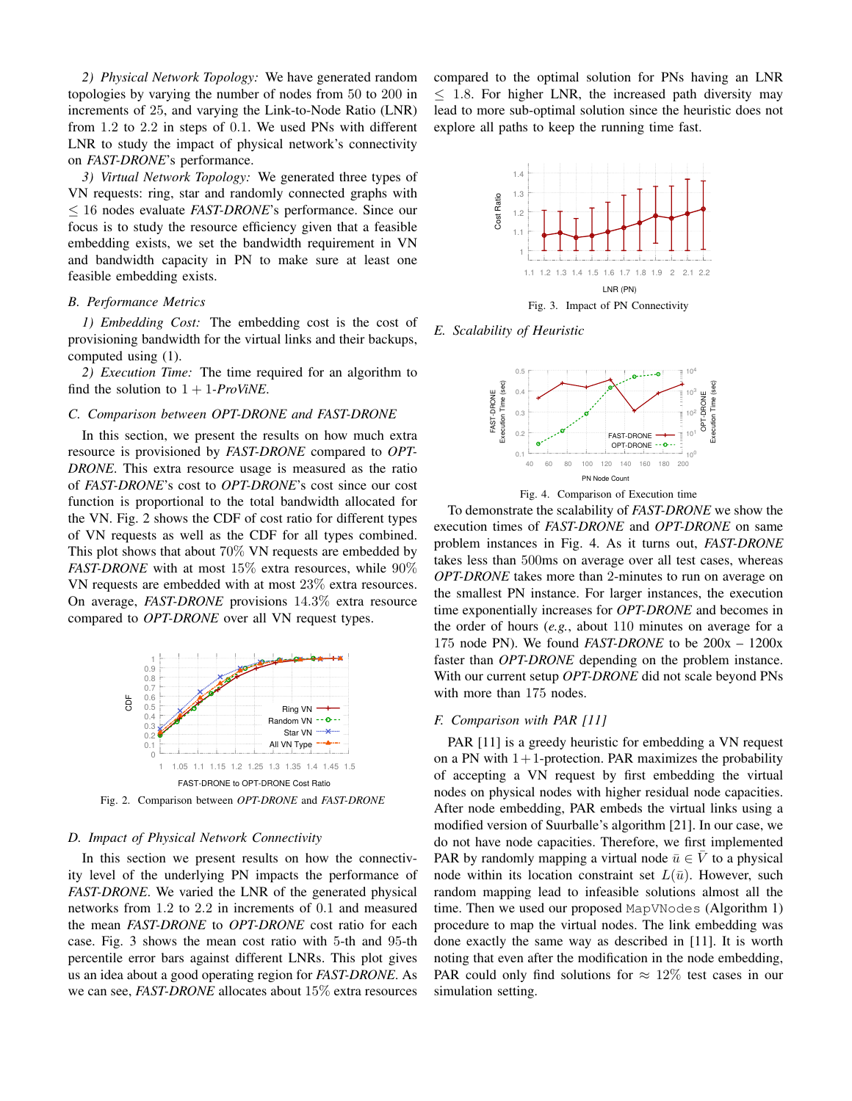*2) Physical Network Topology:* We have generated random topologies by varying the number of nodes from 50 to 200 in increments of 25, and varying the Link-to-Node Ratio (LNR) from 1.2 to 2.2 in steps of 0.1. We used PNs with different LNR to study the impact of physical network's connectivity on *FAST-DRONE*'s performance.

*3) Virtual Network Topology:* We generated three types of VN requests: ring, star and randomly connected graphs with ≤ 16 nodes evaluate *FAST-DRONE*'s performance. Since our focus is to study the resource efficiency given that a feasible embedding exists, we set the bandwidth requirement in VN and bandwidth capacity in PN to make sure at least one feasible embedding exists.

## *B. Performance Metrics*

*1) Embedding Cost:* The embedding cost is the cost of provisioning bandwidth for the virtual links and their backups, computed using (1).

*2) Execution Time:* The time required for an algorithm to find the solution to  $1 + 1$ *-ProViNE*.

## *C. Comparison between OPT-DRONE and FAST-DRONE*

In this section, we present the results on how much extra resource is provisioned by *FAST-DRONE* compared to *OPT-DRONE*. This extra resource usage is measured as the ratio of *FAST-DRONE*'s cost to *OPT-DRONE*'s cost since our cost function is proportional to the total bandwidth allocated for the VN. Fig. 2 shows the CDF of cost ratio for different types of VN requests as well as the CDF for all types combined. This plot shows that about 70% VN requests are embedded by *FAST-DRONE* with at most 15% extra resources, while 90% VN requests are embedded with at most 23% extra resources. On average, *FAST-DRONE* provisions 14.3% extra resource compared to *OPT-DRONE* over all VN request types.



Fig. 2. Comparison between *OPT-DRONE* and *FAST-DRONE*

### *D. Impact of Physical Network Connectivity*

In this section we present results on how the connectivity level of the underlying PN impacts the performance of *FAST-DRONE*. We varied the LNR of the generated physical networks from 1.2 to 2.2 in increments of 0.1 and measured the mean *FAST-DRONE* to *OPT-DRONE* cost ratio for each case. Fig. 3 shows the mean cost ratio with 5-th and 95-th percentile error bars against different LNRs. This plot gives us an idea about a good operating region for *FAST-DRONE*. As we can see, *FAST-DRONE* allocates about 15% extra resources compared to the optimal solution for PNs having an LNR  $\leq$  1.8. For higher LNR, the increased path diversity may lead to more sub-optimal solution since the heuristic does not explore all paths to keep the running time fast.



*E. Scalability of Heuristic*



Fig. 4. Comparison of Execution time

To demonstrate the scalability of *FAST-DRONE* we show the execution times of *FAST-DRONE* and *OPT-DRONE* on same problem instances in Fig. 4. As it turns out, *FAST-DRONE* takes less than 500ms on average over all test cases, whereas *OPT-DRONE* takes more than 2-minutes to run on average on the smallest PN instance. For larger instances, the execution time exponentially increases for *OPT-DRONE* and becomes in the order of hours (*e.g.*, about 110 minutes on average for a 175 node PN). We found *FAST-DRONE* to be 200x – 1200x faster than *OPT-DRONE* depending on the problem instance. With our current setup *OPT-DRONE* did not scale beyond PNs with more than 175 nodes.

# *F. Comparison with PAR [11]*

PAR [11] is a greedy heuristic for embedding a VN request on a PN with  $1+1$ -protection. PAR maximizes the probability of accepting a VN request by first embedding the virtual nodes on physical nodes with higher residual node capacities. After node embedding, PAR embeds the virtual links using a modified version of Suurballe's algorithm [21]. In our case, we do not have node capacities. Therefore, we first implemented PAR by randomly mapping a virtual node  $\bar{u} \in V$  to a physical node within its location constraint set  $L(\bar{u})$ . However, such random mapping lead to infeasible solutions almost all the time. Then we used our proposed MapVNodes (Algorithm 1) procedure to map the virtual nodes. The link embedding was done exactly the same way as described in [11]. It is worth noting that even after the modification in the node embedding, PAR could only find solutions for  $\approx 12\%$  test cases in our simulation setting.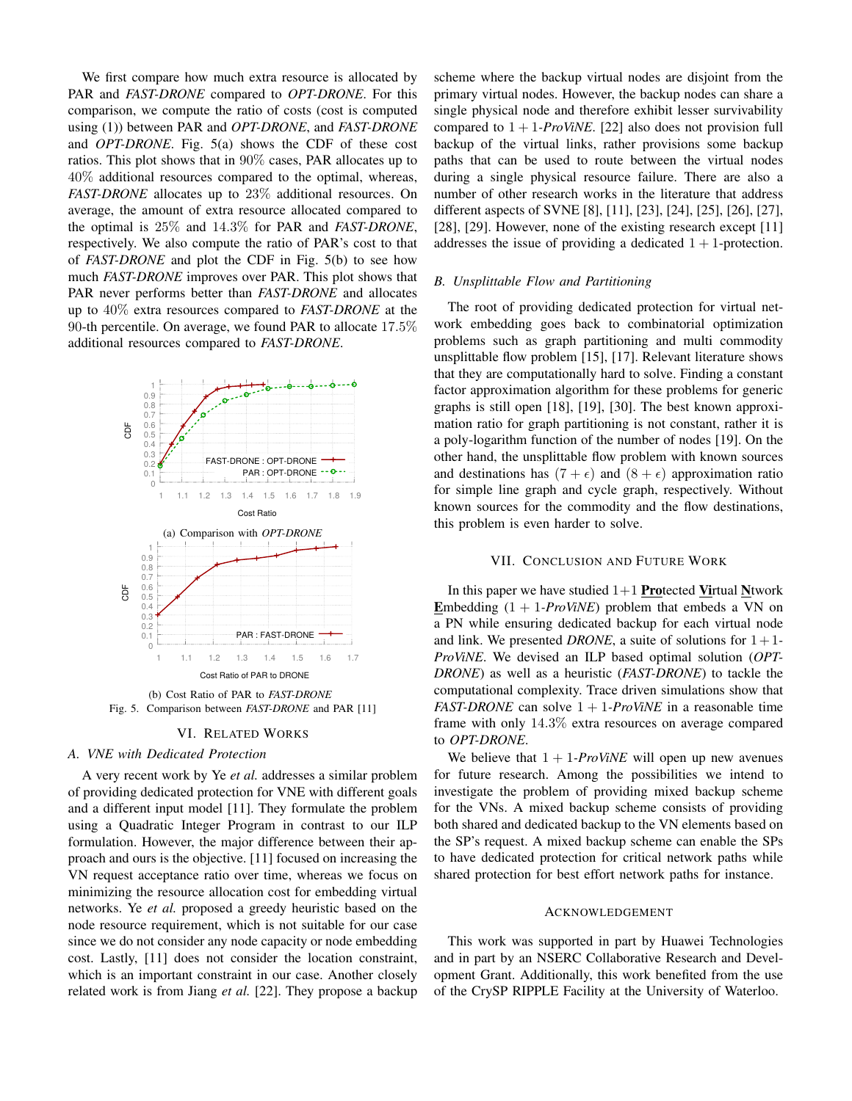We first compare how much extra resource is allocated by PAR and *FAST-DRONE* compared to *OPT-DRONE*. For this comparison, we compute the ratio of costs (cost is computed using (1)) between PAR and *OPT-DRONE*, and *FAST-DRONE* and *OPT-DRONE*. Fig. 5(a) shows the CDF of these cost ratios. This plot shows that in 90% cases, PAR allocates up to 40% additional resources compared to the optimal, whereas, *FAST-DRONE* allocates up to 23% additional resources. On average, the amount of extra resource allocated compared to the optimal is 25% and 14.3% for PAR and *FAST-DRONE*, respectively. We also compute the ratio of PAR's cost to that of *FAST-DRONE* and plot the CDF in Fig. 5(b) to see how much *FAST-DRONE* improves over PAR. This plot shows that PAR never performs better than *FAST-DRONE* and allocates up to 40% extra resources compared to *FAST-DRONE* at the 90-th percentile. On average, we found PAR to allocate 17.5% additional resources compared to *FAST-DRONE*.



(b) Cost Ratio of PAR to *FAST-DRONE* Fig. 5. Comparison between *FAST-DRONE* and PAR [11]

# VI. RELATED WORKS

# *A. VNE with Dedicated Protection*

A very recent work by Ye *et al.* addresses a similar problem of providing dedicated protection for VNE with different goals and a different input model [11]. They formulate the problem using a Quadratic Integer Program in contrast to our ILP formulation. However, the major difference between their approach and ours is the objective. [11] focused on increasing the VN request acceptance ratio over time, whereas we focus on minimizing the resource allocation cost for embedding virtual networks. Ye *et al.* proposed a greedy heuristic based on the node resource requirement, which is not suitable for our case since we do not consider any node capacity or node embedding cost. Lastly, [11] does not consider the location constraint, which is an important constraint in our case. Another closely related work is from Jiang *et al.* [22]. They propose a backup scheme where the backup virtual nodes are disjoint from the primary virtual nodes. However, the backup nodes can share a single physical node and therefore exhibit lesser survivability compared to  $1 + 1$ -*ProViNE*. [22] also does not provision full backup of the virtual links, rather provisions some backup paths that can be used to route between the virtual nodes during a single physical resource failure. There are also a number of other research works in the literature that address different aspects of SVNE [8], [11], [23], [24], [25], [26], [27], [28], [29]. However, none of the existing research except [11] addresses the issue of providing a dedicated  $1 + 1$ -protection.

# *B. Unsplittable Flow and Partitioning*

The root of providing dedicated protection for virtual network embedding goes back to combinatorial optimization problems such as graph partitioning and multi commodity unsplittable flow problem [15], [17]. Relevant literature shows that they are computationally hard to solve. Finding a constant factor approximation algorithm for these problems for generic graphs is still open [18], [19], [30]. The best known approximation ratio for graph partitioning is not constant, rather it is a poly-logarithm function of the number of nodes [19]. On the other hand, the unsplittable flow problem with known sources and destinations has  $(7 + \epsilon)$  and  $(8 + \epsilon)$  approximation ratio for simple line graph and cycle graph, respectively. Without known sources for the commodity and the flow destinations, this problem is even harder to solve.

## VII. CONCLUSION AND FUTURE WORK

In this paper we have studied  $1+1$  Protected Virtual Ntwork Embedding  $(1 + 1$ *-ProViNE*) problem that embeds a VN on a PN while ensuring dedicated backup for each virtual node and link. We presented *DRONE*, a suite of solutions for  $1+1$ -*ProViNE*. We devised an ILP based optimal solution (*OPT-DRONE*) as well as a heuristic (*FAST-DRONE*) to tackle the computational complexity. Trace driven simulations show that *FAST-DRONE* can solve  $1 + 1$ -*ProViNE* in a reasonable time frame with only 14.3% extra resources on average compared to *OPT-DRONE*.

We believe that  $1 + 1$ -*ProViNE* will open up new avenues for future research. Among the possibilities we intend to investigate the problem of providing mixed backup scheme for the VNs. A mixed backup scheme consists of providing both shared and dedicated backup to the VN elements based on the SP's request. A mixed backup scheme can enable the SPs to have dedicated protection for critical network paths while shared protection for best effort network paths for instance.

#### ACKNOWLEDGEMENT

This work was supported in part by Huawei Technologies and in part by an NSERC Collaborative Research and Development Grant. Additionally, this work benefited from the use of the CrySP RIPPLE Facility at the University of Waterloo.